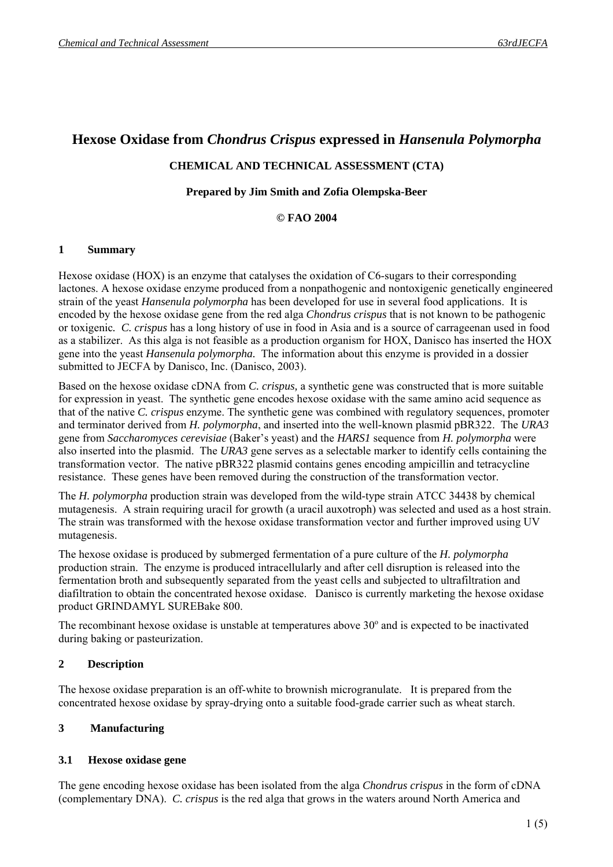# **Hexose Oxidase from** *Chondrus Crispus* **expressed in** *Hansenula Polymorpha*

## **CHEMICAL AND TECHNICAL ASSESSMENT (CTA)**

#### **Prepared by Jim Smith and Zofia Olempska-Beer**

#### **© FAO 2004**

#### **1 Summary**

Hexose oxidase (HOX) is an enzyme that catalyses the oxidation of C6-sugars to their corresponding lactones. A hexose oxidase enzyme produced from a nonpathogenic and nontoxigenic genetically engineered strain of the yeast *Hansenula polymorpha* has been developed for use in several food applications. It is encoded by the hexose oxidase gene from the red alga *Chondrus crispus* that is not known to be pathogenic or toxigenic*. C. crispus* has a long history of use in food in Asia and is a source of carrageenan used in food as a stabilizer. As this alga is not feasible as a production organism for HOX, Danisco has inserted the HOX gene into the yeast *Hansenula polymorpha.* The information about this enzyme is provided in a dossier submitted to JECFA by Danisco, Inc. (Danisco, 2003).

Based on the hexose oxidase cDNA from *C. crispus,* a synthetic gene was constructed that is more suitable for expression in yeast. The synthetic gene encodes hexose oxidase with the same amino acid sequence as that of the native *C. crispus* enzyme. The synthetic gene was combined with regulatory sequences, promoter and terminator derived from *H. polymorpha*, and inserted into the well-known plasmid pBR322. The *URA3* gene from *Saccharomyces cerevisiae* (Baker's yeast) and the *HARS1* sequence from *H. polymorpha* were also inserted into the plasmid. The *URA3* gene serves as a selectable marker to identify cells containing the transformation vector. The native pBR322 plasmid contains genes encoding ampicillin and tetracycline resistance. These genes have been removed during the construction of the transformation vector.

The *H. polymorpha* production strain was developed from the wild-type strain ATCC 34438 by chemical mutagenesis. A strain requiring uracil for growth (a uracil auxotroph) was selected and used as a host strain. The strain was transformed with the hexose oxidase transformation vector and further improved using UV mutagenesis.

The hexose oxidase is produced by submerged fermentation of a pure culture of the *H. polymorpha* production strain. The enzyme is produced intracellularly and after cell disruption is released into the fermentation broth and subsequently separated from the yeast cells and subjected to ultrafiltration and diafiltration to obtain the concentrated hexose oxidase. Danisco is currently marketing the hexose oxidase product GRINDAMYL SUREBake 800.

The recombinant hexose oxidase is unstable at temperatures above  $30^{\circ}$  and is expected to be inactivated during baking or pasteurization.

## **2 Description**

The hexose oxidase preparation is an off-white to brownish microgranulate. It is prepared from the concentrated hexose oxidase by spray-drying onto a suitable food-grade carrier such as wheat starch.

## **3 Manufacturing**

#### **3.1 Hexose oxidase gene**

The gene encoding hexose oxidase has been isolated from the alga *Chondrus crispus* in the form of cDNA (complementary DNA). *C. crispus* is the red alga that grows in the waters around North America and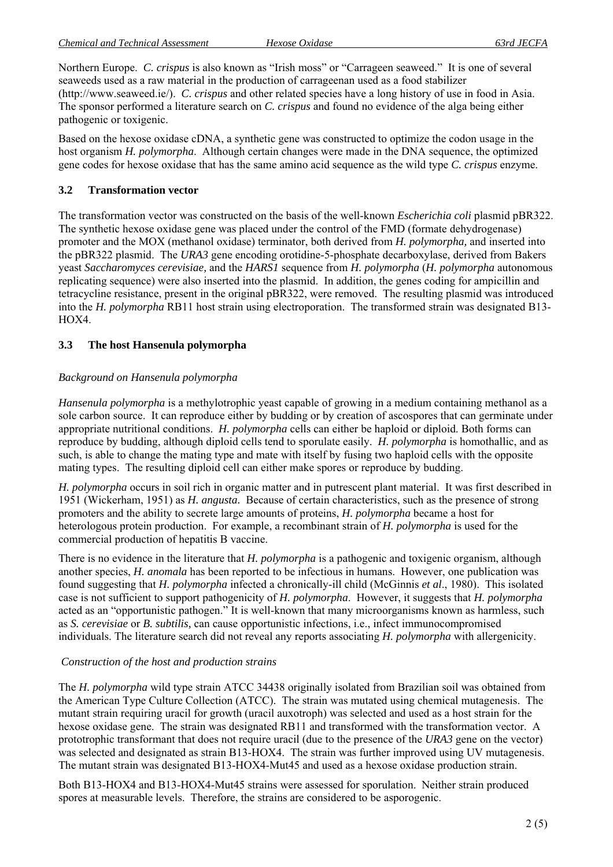Northern Europe. *C. crispus* is also known as "Irish moss" or "Carrageen seaweed." It is one of several seaweeds used as a raw material in the production of carrageenan used as a food stabilizer (http://www.seaweed.ie/). *C. crispus* and other related species have a long history of use in food in Asia. The sponsor performed a literature search on *C. crispus* and found no evidence of the alga being either pathogenic or toxigenic.

Based on the hexose oxidase cDNA, a synthetic gene was constructed to optimize the codon usage in the host organism *H. polymorpha*. Although certain changes were made in the DNA sequence, the optimized gene codes for hexose oxidase that has the same amino acid sequence as the wild type *C. crispus* enzyme.

### **3.2 Transformation vector**

The transformation vector was constructed on the basis of the well-known *Escherichia coli* plasmid pBR322. The synthetic hexose oxidase gene was placed under the control of the FMD (formate dehydrogenase) promoter and the MOX (methanol oxidase) terminator, both derived from *H. polymorpha,* and inserted into the pBR322 plasmid. The *URA3* gene encoding orotidine-5-phosphate decarboxylase, derived from Bakers yeast *Saccharomyces cerevisiae,* and the *HARS1* sequence from *H. polymorpha* (*H. polymorpha* autonomous replicating sequence) were also inserted into the plasmid. In addition, the genes coding for ampicillin and tetracycline resistance, present in the original pBR322, were removed. The resulting plasmid was introduced into the *H. polymorpha* RB11 host strain using electroporation. The transformed strain was designated B13- HOX4.

#### **3.3 The host Hansenula polymorpha**

#### *Background on Hansenula polymorpha*

*Hansenula polymorpha* is a methylotrophic yeast capable of growing in a medium containing methanol as a sole carbon source. It can reproduce either by budding or by creation of ascospores that can germinate under appropriate nutritional conditions. *H. polymorpha* cells can either be haploid or diploid. Both forms can reproduce by budding, although diploid cells tend to sporulate easily. *H. polymorpha* is homothallic, and as such, is able to change the mating type and mate with itself by fusing two haploid cells with the opposite mating types. The resulting diploid cell can either make spores or reproduce by budding.

*H. polymorpha* occurs in soil rich in organic matter and in putrescent plant material. It was first described in 1951 (Wickerham, 1951) as *H. angusta.* Because of certain characteristics, such as the presence of strong promoters and the ability to secrete large amounts of proteins, *H. polymorpha* became a host for heterologous protein production. For example, a recombinant strain of *H. polymorpha* is used for the commercial production of hepatitis B vaccine.

There is no evidence in the literature that *H. polymorpha* is a pathogenic and toxigenic organism, although another species, *H. anomala* has been reported to be infectious in humans. However, one publication was found suggesting that *H. polymorpha* infected a chronically-ill child (McGinnis *et al*., 1980). This isolated case is not sufficient to support pathogenicity of *H. polymorpha*. However, it suggests that *H. polymorpha* acted as an "opportunistic pathogen." It is well-known that many microorganisms known as harmless, such as *S. cerevisiae* or *B. subtilis,* can cause opportunistic infections, i.e., infect immunocompromised individuals. The literature search did not reveal any reports associating *H. polymorpha* with allergenicity.

#### *Construction of the host and production strains*

The *H. polymorpha* wild type strain ATCC 34438 originally isolated from Brazilian soil was obtained from the American Type Culture Collection (ATCC). The strain was mutated using chemical mutagenesis. The mutant strain requiring uracil for growth (uracil auxotroph) was selected and used as a host strain for the hexose oxidase gene. The strain was designated RB11 and transformed with the transformation vector. A prototrophic transformant that does not require uracil (due to the presence of the *URA3* gene on the vector) was selected and designated as strain B13-HOX4. The strain was further improved using UV mutagenesis. The mutant strain was designated B13-HOX4-Mut45 and used as a hexose oxidase production strain.

Both B13-HOX4 and B13-HOX4-Mut45 strains were assessed for sporulation. Neither strain produced spores at measurable levels. Therefore, the strains are considered to be asporogenic.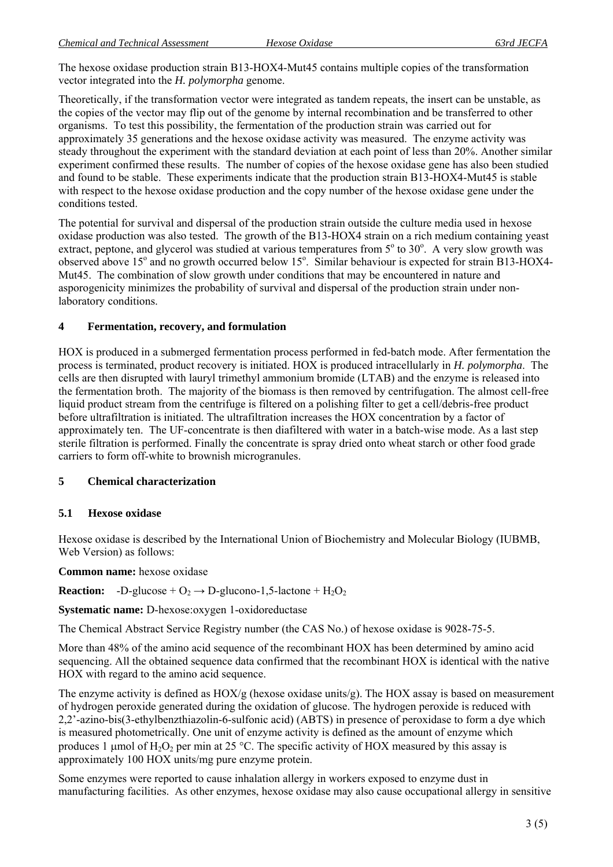The hexose oxidase production strain B13-HOX4-Mut45 contains multiple copies of the transformation vector integrated into the *H. polymorpha* genome.

Theoretically, if the transformation vector were integrated as tandem repeats, the insert can be unstable, as the copies of the vector may flip out of the genome by internal recombination and be transferred to other organisms. To test this possibility, the fermentation of the production strain was carried out for approximately 35 generations and the hexose oxidase activity was measured. The enzyme activity was steady throughout the experiment with the standard deviation at each point of less than 20%. Another similar experiment confirmed these results. The number of copies of the hexose oxidase gene has also been studied and found to be stable. These experiments indicate that the production strain B13-HOX4-Mut45 is stable with respect to the hexose oxidase production and the copy number of the hexose oxidase gene under the conditions tested.

The potential for survival and dispersal of the production strain outside the culture media used in hexose oxidase production was also tested. The growth of the B13-HOX4 strain on a rich medium containing yeast extract, peptone, and glycerol was studied at various temperatures from  $5^\circ$  to  $30^\circ$ . A very slow growth was observed above 15° and no growth occurred below 15°. Similar behaviour is expected for strain B13-HOX4-Mut45. The combination of slow growth under conditions that may be encountered in nature and asporogenicity minimizes the probability of survival and dispersal of the production strain under nonlaboratory conditions.

#### **4 Fermentation, recovery, and formulation**

HOX is produced in a submerged fermentation process performed in fed-batch mode. After fermentation the process is terminated, product recovery is initiated. HOX is produced intracellularly in *H. polymorpha*. The cells are then disrupted with lauryl trimethyl ammonium bromide (LTAB) and the enzyme is released into the fermentation broth. The majority of the biomass is then removed by centrifugation. The almost cell-free liquid product stream from the centrifuge is filtered on a polishing filter to get a cell/debris-free product before ultrafiltration is initiated. The ultrafiltration increases the HOX concentration by a factor of approximately ten. The UF-concentrate is then diafiltered with water in a batch-wise mode. As a last step sterile filtration is performed. Finally the concentrate is spray dried onto wheat starch or other food grade carriers to form off-white to brownish microgranules.

## **5 Chemical characterization**

## **5.1 Hexose oxidase**

Hexose oxidase is described by the International Union of Biochemistry and Molecular Biology (IUBMB, Web Version) as follows:

**Common name:** hexose oxidase

**Reaction:**  $-D$ -glucose +  $O_2 \rightarrow D$ -glucono-1,5-lactone +  $H_2O_2$ 

**Systematic name:** D-hexose:oxygen 1-oxidoreductase

The Chemical Abstract Service Registry number (the CAS No.) of hexose oxidase is 9028-75-5.

More than 48% of the amino acid sequence of the recombinant HOX has been determined by amino acid sequencing. All the obtained sequence data confirmed that the recombinant HOX is identical with the native HOX with regard to the amino acid sequence.

The enzyme activity is defined as  $HOX/g$  (hexose oxidase units/g). The  $HOX$  assay is based on measurement of hydrogen peroxide generated during the oxidation of glucose. The hydrogen peroxide is reduced with 2,2'-azino-bis(3-ethylbenzthiazolin-6-sulfonic acid) (ABTS) in presence of peroxidase to form a dye which is measured photometrically. One unit of enzyme activity is defined as the amount of enzyme which produces 1 µmol of  $H_2O_2$  per min at 25 °C. The specific activity of HOX measured by this assay is approximately 100 HOX units/mg pure enzyme protein.

Some enzymes were reported to cause inhalation allergy in workers exposed to enzyme dust in manufacturing facilities. As other enzymes, hexose oxidase may also cause occupational allergy in sensitive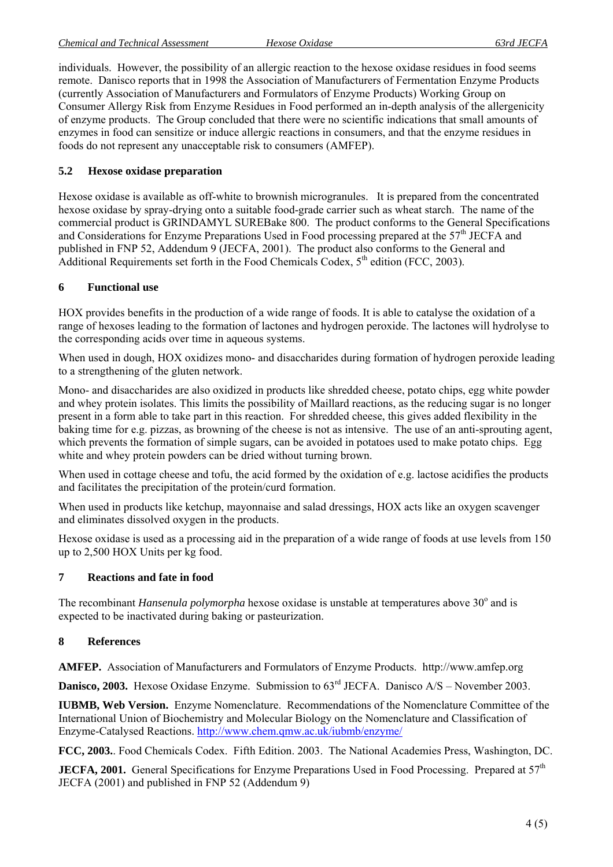individuals. However, the possibility of an allergic reaction to the hexose oxidase residues in food seems remote. Danisco reports that in 1998 the Association of Manufacturers of Fermentation Enzyme Products (currently Association of Manufacturers and Formulators of Enzyme Products) Working Group on Consumer Allergy Risk from Enzyme Residues in Food performed an in-depth analysis of the allergenicity of enzyme products. The Group concluded that there were no scientific indications that small amounts of enzymes in food can sensitize or induce allergic reactions in consumers, and that the enzyme residues in foods do not represent any unacceptable risk to consumers (AMFEP).

## **5.2 Hexose oxidase preparation**

Hexose oxidase is available as off-white to brownish microgranules. It is prepared from the concentrated hexose oxidase by spray-drying onto a suitable food-grade carrier such as wheat starch. The name of the commercial product is GRINDAMYL SUREBake 800. The product conforms to the General Specifications and Considerations for Enzyme Preparations Used in Food processing prepared at the 57<sup>th</sup> JECFA and published in FNP 52, Addendum 9 (JECFA, 2001). The product also conforms to the General and Additional Requirements set forth in the Food Chemicals Codex,  $5<sup>th</sup>$  edition (FCC, 2003).

## **6 Functional use**

HOX provides benefits in the production of a wide range of foods. It is able to catalyse the oxidation of a range of hexoses leading to the formation of lactones and hydrogen peroxide. The lactones will hydrolyse to the corresponding acids over time in aqueous systems.

When used in dough, HOX oxidizes mono- and disaccharides during formation of hydrogen peroxide leading to a strengthening of the gluten network.

Mono- and disaccharides are also oxidized in products like shredded cheese, potato chips, egg white powder and whey protein isolates. This limits the possibility of Maillard reactions, as the reducing sugar is no longer present in a form able to take part in this reaction. For shredded cheese, this gives added flexibility in the baking time for e.g. pizzas, as browning of the cheese is not as intensive. The use of an anti-sprouting agent, which prevents the formation of simple sugars, can be avoided in potatoes used to make potato chips. Egg white and whey protein powders can be dried without turning brown.

When used in cottage cheese and tofu, the acid formed by the oxidation of e.g. lactose acidifies the products and facilitates the precipitation of the protein/curd formation.

When used in products like ketchup, mayonnaise and salad dressings, HOX acts like an oxygen scavenger and eliminates dissolved oxygen in the products.

Hexose oxidase is used as a processing aid in the preparation of a wide range of foods at use levels from 150 up to 2,500 HOX Units per kg food.

## **7 Reactions and fate in food**

The recombinant *Hansenula polymorpha* hexose oxidase is unstable at temperatures above 30<sup>°</sup> and is expected to be inactivated during baking or pasteurization.

## **8 References**

**AMFEP.** Association of Manufacturers and Formulators of Enzyme Products. http://www.amfep.org

**Danisco, 2003.** Hexose Oxidase Enzyme. Submission to  $63<sup>rd</sup>$  JECFA. Danisco A/S – November 2003.

**IUBMB, Web Version.** Enzyme Nomenclature. Recommendations of the Nomenclature Committee of the International Union of Biochemistry and Molecular Biology on the Nomenclature and Classification of Enzyme-Catalysed Reactions. http://www.chem.qmw.ac.uk/iubmb/enzyme/

**FCC, 2003.**. Food Chemicals Codex. Fifth Edition. 2003. The National Academies Press, Washington, DC.

**JECFA, 2001.** General Specifications for Enzyme Preparations Used in Food Processing. Prepared at  $57<sup>th</sup>$ JECFA (2001) and published in FNP 52 (Addendum 9)